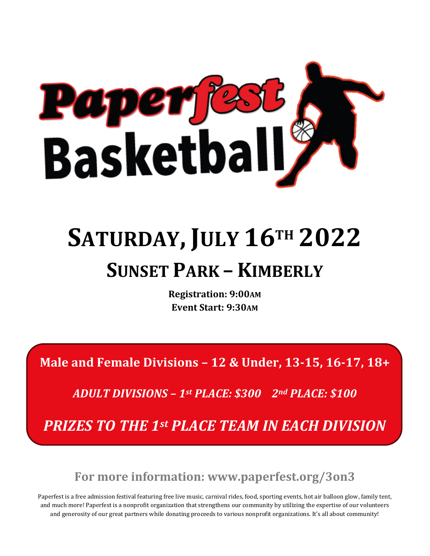

## **SATURDAY, JULY 16TH 2022 SUNSET PARK – KIMBERLY**

**Registration: 9:00AM Event Start: 9:30AM**

**Male and Female Divisions – 12 & Under, 13-15, 16-17, 18+**

*ADULT DIVISIONS – 1st PLACE: \$300 2nd PLACE: \$100*

*PRIZES TO THE 1st PLACE TEAM IN EACH DIVISION*

**For more information: www.paperfest.org/3on3**

Paperfest is a free admission festival featuring free live music, carnival rides, food, sporting events, hot air balloon glow, family tent, and much more! Paperfest is a nonprofit organization that strengthens our community by utilizing the expertise of our volunteers and generosity of our great partners while donating proceeds to various nonprofit organizations. It's all about community!